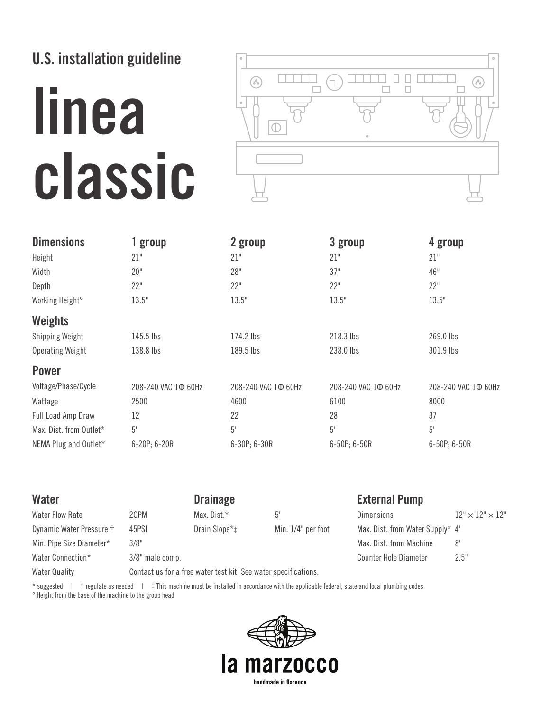## **U.S. installation guideline**

# **linea classic**



| <b>Dimensions</b>           | 1 group             | 2 group             | 3 group             | 4 group                   |
|-----------------------------|---------------------|---------------------|---------------------|---------------------------|
| Height                      | 21"                 | 21"                 | 21"                 | 21"                       |
| Width                       | 20"                 | 28"                 | 37"                 | 46"                       |
| Depth                       | 22"                 | 22"                 | 22"                 | 22"                       |
| Working Height <sup>o</sup> | 13.5"               | 13.5"               | 13.5"               | 13.5"                     |
| <b>Weights</b>              |                     |                     |                     |                           |
| Shipping Weight             | 145.5 lbs           | 174.2 lbs           | 218.3 lbs           | 269.0 lbs                 |
| <b>Operating Weight</b>     | 138.8 lbs           | 189.5 lbs           | 238.0 lbs           | 301.9 lbs                 |
| <b>Power</b>                |                     |                     |                     |                           |
| Voltage/Phase/Cycle         | 208-240 VAC 10 60Hz | 208-240 VAC 1Φ 60Hz | 208-240 VAC 1Φ 60Hz | 208-240 VAC 1 $\Phi$ 60Hz |
| Wattage                     | 2500                | 4600                | 6100                | 8000                      |
| Full Load Amp Draw          | 12                  | 22                  | 28                  | 37                        |
| Max. Dist. from Outlet*     | $5'$                | $5'$                | 5'                  | $5'$                      |
| NEMA Plug and Outlet*       | 6-20P; 6-20R        | 6-30P; 6-30R        | 6-50P; 6-50R        | 6-50P; 6-50R              |

| Water                    |                 | <b>Drainage</b>                                                 |                    | <b>External Pump</b>             |                             |
|--------------------------|-----------------|-----------------------------------------------------------------|--------------------|----------------------------------|-----------------------------|
| <b>Water Flow Rate</b>   | 2GPM            | Max. Dist.*                                                     |                    | <b>Dimensions</b>                | $12" \times 12" \times 12"$ |
| Dynamic Water Pressure † | 45PSI           | Drain Slope*‡                                                   | Min. 1/4" per foot | Max. Dist. from Water Supply* 4' |                             |
| Min. Pipe Size Diameter* | 3/8"            |                                                                 |                    | Max. Dist. from Machine          | $8^{\circ}$                 |
| Water Connection*        | 3/8" male comp. |                                                                 |                    | <b>Counter Hole Diameter</b>     | 2.5"                        |
| <b>Water Quality</b>     |                 | Contact us for a free water test kit. See water specifications. |                    |                                  |                             |

\* suggested | † regulate as needed | ‡ This machine must be installed in accordance with the applicable federal, state and local plumbing codes ° Height from the base of the machine to the group head